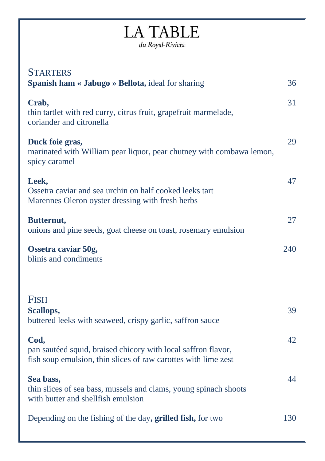# **LA TABLE** du Royal-Riviera

| <b>STARTERS</b>                                                                                                                         |     |
|-----------------------------------------------------------------------------------------------------------------------------------------|-----|
| Spanish ham « Jabugo » Bellota, ideal for sharing                                                                                       | 36  |
| Crab,<br>thin tartlet with red curry, citrus fruit, grapefruit marmelade,<br>coriander and citronella                                   | 31  |
| Duck foie gras,<br>marinated with William pear liquor, pear chutney with combawa lemon,<br>spicy caramel                                | 29  |
| Leek,<br>Ossetra caviar and sea urchin on half cooked leeks tart<br>Marennes Oleron oyster dressing with fresh herbs                    | 47  |
| Butternut,<br>onions and pine seeds, goat cheese on toast, rosemary emulsion                                                            | 27  |
| Ossetra caviar 50g,<br>blinis and condiments                                                                                            | 240 |
| <b>FISH</b><br>Scallops,<br>buttered leeks with seaweed, crispy garlic, saffron sauce                                                   | 39  |
| Cod,<br>pan sautéed squid, braised chicory with local saffron flavor,<br>fish soup emulsion, thin slices of raw carottes with lime zest | 42  |
| Sea bass,<br>thin slices of sea bass, mussels and clams, young spinach shoots<br>with butter and shellfish emulsion                     | 44  |
| Depending on the fishing of the day, grilled fish, for two                                                                              | 130 |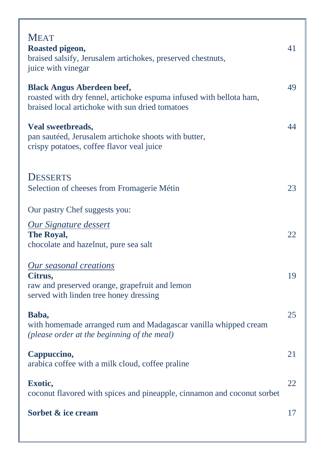| <b>MEAT</b><br>Roasted pigeon,<br>braised salsify, Jerusalem artichokes, preserved chestnuts,<br>juice with vinegar                                         | 41 |
|-------------------------------------------------------------------------------------------------------------------------------------------------------------|----|
| <b>Black Angus Aberdeen beef,</b><br>roasted with dry fennel, artichoke espuma infused with bellota ham,<br>braised local artichoke with sun dried tomatoes | 49 |
| Veal sweetbreads,<br>pan sautéed, Jerusalem artichoke shoots with butter,<br>crispy potatoes, coffee flavor veal juice                                      | 44 |
| <b>DESSERTS</b><br>Selection of cheeses from Fromagerie Métin                                                                                               | 23 |
| Our pastry Chef suggests you:                                                                                                                               |    |
| <b>Our Signature dessert</b><br>The Royal,<br>chocolate and hazelnut, pure sea salt                                                                         | 22 |
| <b>Our seasonal creations</b><br>Citrus,<br>raw and preserved orange, grapefruit and lemon<br>served with linden tree honey dressing                        | 19 |
| Baba,<br>with homemade arranged rum and Madagascar vanilla whipped cream<br>(please order at the beginning of the meal)                                     | 25 |
| Cappuccino,<br>arabica coffee with a milk cloud, coffee praline                                                                                             | 21 |
| Exotic,<br>coconut flavored with spices and pineapple, cinnamon and coconut sorbet                                                                          | 22 |
| Sorbet & ice cream                                                                                                                                          | 17 |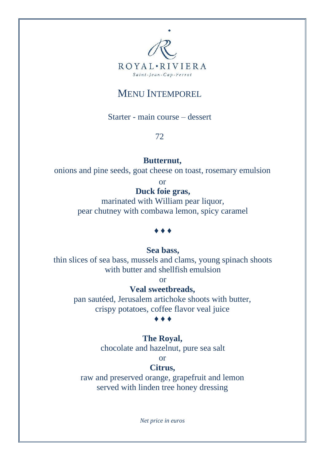

# MENU INTEMPOREL

Starter - main course – dessert

72

## **Butternut,**

onions and pine seeds, goat cheese on toast, rosemary emulsion

or

## **Duck foie gras,**

marinated with William pear liquor, pear chutney with combawa lemon, spicy caramel

#### ♦ ♦ ♦

## **Sea bass,**

thin slices of sea bass, mussels and clams, young spinach shoots with butter and shellfish emulsion

or

# **Veal sweetbreads,**

pan sautéed, Jerusalem artichoke shoots with butter, crispy potatoes, coffee flavor veal juice

#### ♦ ♦ ♦

## **The Royal,**

chocolate and hazelnut, pure sea salt

or

## **Citrus,**

raw and preserved orange, grapefruit and lemon served with linden tree honey dressing

*Net price in euros*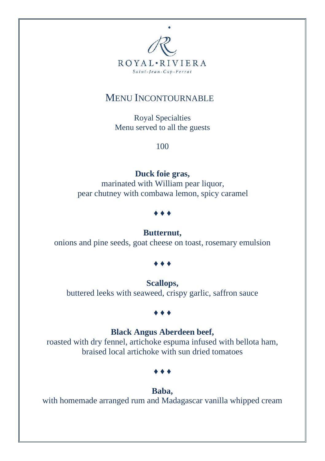

# MENU INCONTOURNABLE

Royal Specialties Menu served to all the guests

100

## **Duck foie gras,**

marinated with William pear liquor, pear chutney with combawa lemon, spicy caramel

**♦ ♦ ♦**

#### **Butternut,**

onions and pine seeds, goat cheese on toast, rosemary emulsion

#### **♦ ♦ ♦**

**Scallops,** buttered leeks with seaweed, crispy garlic, saffron sauce

#### **♦ ♦ ♦**

## **Black Angus Aberdeen beef,**

roasted with dry fennel, artichoke espuma infused with bellota ham, braised local artichoke with sun dried tomatoes

**♦ ♦ ♦**

#### **Baba,**

with homemade arranged rum and Madagascar vanilla whipped cream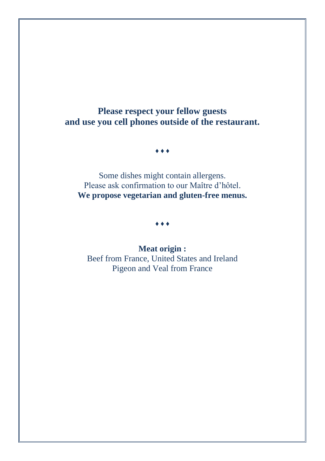**Please respect your fellow guests and use you cell phones outside of the restaurant.**

♦ ♦ ♦

Some dishes might contain allergens. Please ask confirmation to our Maître d'hôtel. **We propose vegetarian and gluten-free menus.**

♦ ♦ ♦

**Meat origin :** Beef from France, United States and Ireland Pigeon and Veal from France